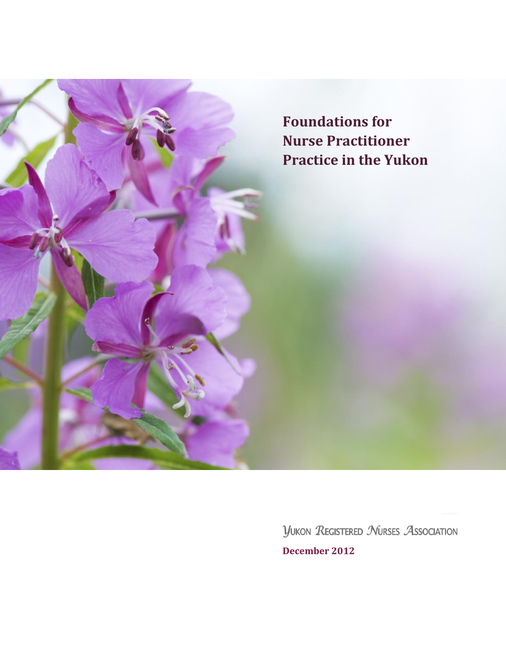

**YUKON REGISTERED NURSES ASSOCIATION December 2012**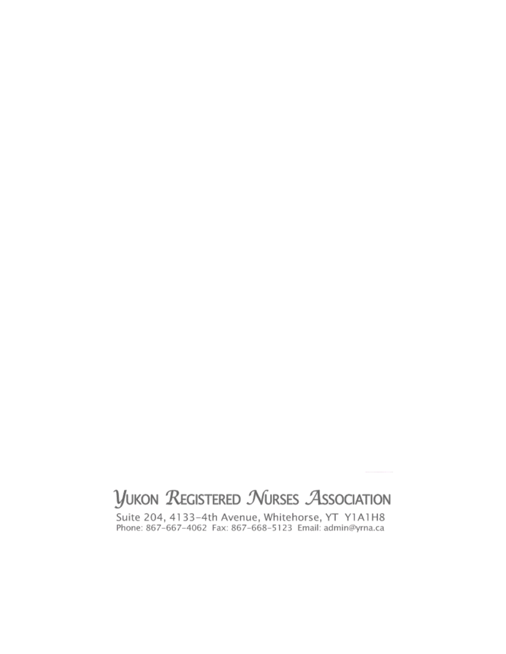# **YUKON REGISTERED NURSES ASSOCIATION**

Suite 204, 4133-4th Avenue, Whitehorse, YT Y1A1H8<br>Phone: 867-667-4062 Fax: 867-668-5123 Email: admin@yrna.ca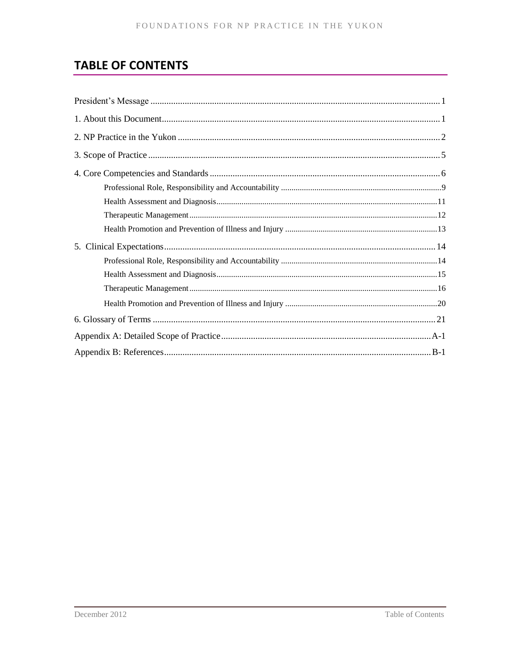# **TABLE OF CONTENTS**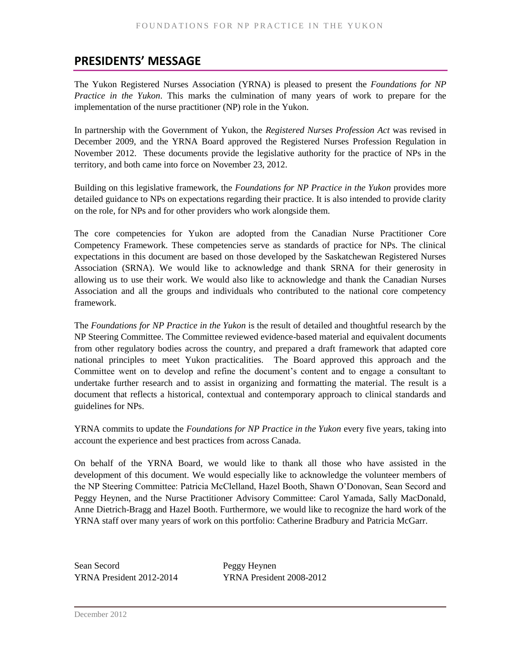# <span id="page-4-0"></span>**PRESIDENTS' MESSAGE**

The Yukon Registered Nurses Association (YRNA) is pleased to present the *Foundations for NP Practice in the Yukon*. This marks the culmination of many years of work to prepare for the implementation of the nurse practitioner (NP) role in the Yukon.

In partnership with the Government of Yukon, the *Registered Nurses Profession Act* was revised in December 2009, and the YRNA Board approved the Registered Nurses Profession Regulation in November 2012. These documents provide the legislative authority for the practice of NPs in the territory, and both came into force on November 23, 2012.

Building on this legislative framework, the *Foundations for NP Practice in the Yukon* provides more detailed guidance to NPs on expectations regarding their practice. It is also intended to provide clarity on the role, for NPs and for other providers who work alongside them.

The core competencies for Yukon are adopted from the Canadian Nurse Practitioner Core Competency Framework. These competencies serve as standards of practice for NPs. The clinical expectations in this document are based on those developed by the Saskatchewan Registered Nurses Association (SRNA). We would like to acknowledge and thank SRNA for their generosity in allowing us to use their work. We would also like to acknowledge and thank the Canadian Nurses Association and all the groups and individuals who contributed to the national core competency framework.

The *Foundations for NP Practice in the Yukon* is the result of detailed and thoughtful research by the NP Steering Committee. The Committee reviewed evidence-based material and equivalent documents from other regulatory bodies across the country, and prepared a draft framework that adapted core national principles to meet Yukon practicalities. The Board approved this approach and the Committee went on to develop and refine the document's content and to engage a consultant to undertake further research and to assist in organizing and formatting the material. The result is a document that reflects a historical, contextual and contemporary approach to clinical standards and guidelines for NPs.

YRNA commits to update the *Foundations for NP Practice in the Yukon* every five years, taking into account the experience and best practices from across Canada.

On behalf of the YRNA Board, we would like to thank all those who have assisted in the development of this document. We would especially like to acknowledge the volunteer members of the NP Steering Committee: Patricia McClelland, Hazel Booth, Shawn O'Donovan, Sean Secord and Peggy Heynen, and the Nurse Practitioner Advisory Committee: Carol Yamada, Sally MacDonald, Anne Dietrich-Bragg and Hazel Booth. Furthermore, we would like to recognize the hard work of the YRNA staff over many years of work on this portfolio: Catherine Bradbury and Patricia McGarr.

Sean Secord Peggy Heynen

YRNA President 2012-2014 YRNA President 2008-2012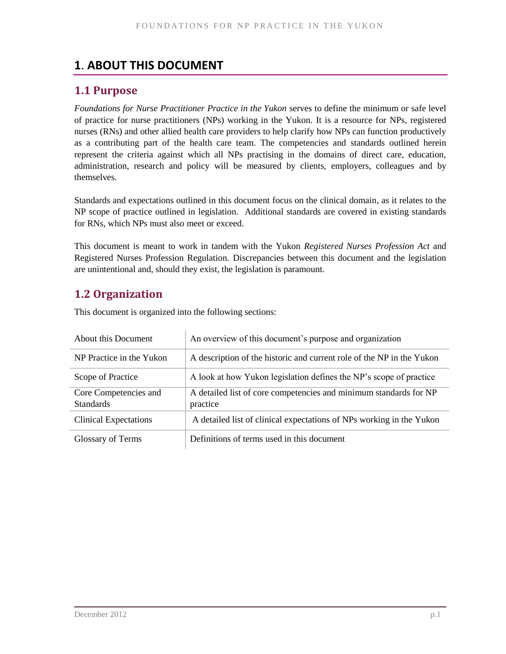# <span id="page-6-0"></span>**1**. **ABOUT THIS DOCUMENT**

# **1.1 Purpose**

*Foundations for Nurse Practitioner Practice in the Yukon* serves to define the minimum or safe level of practice for nurse practitioners (NPs) working in the Yukon. It is a resource for NPs, registered nurses (RNs) and other allied health care providers to help clarify how NPs can function productively as a contributing part of the health care team. The competencies and standards outlined herein represent the criteria against which all NPs practising in the domains of direct care, education, administration, research and policy will be measured by clients, employers, colleagues and by themselves.

Standards and expectations outlined in this document focus on the clinical domain, as it relates to the NP scope of practice outlined in legislation. Additional standards are covered in existing standards for RNs, which NPs must also meet or exceed.

This document is meant to work in tandem with the Yukon *Registered Nurses Profession Act* and Registered Nurses Profession Regulation. Discrepancies between this document and the legislation are unintentional and, should they exist, the legislation is paramount.

# **1.2 Organization**

About this Document An overview of this document's purpose and organization NP Practice in the Yukon  $\parallel$  A description of the historic and current role of the NP in the Yukon Scope of Practice A look at how Yukon legislation defines the NP's scope of practice Core Competencies and **Standards** A detailed list of core competencies and minimum standards for NP practice Clinical Expectations A detailed list of clinical expectations of NPs working in the Yukon Glossary of Terms **Definitions** of terms used in this document

This document is organized into the following sections: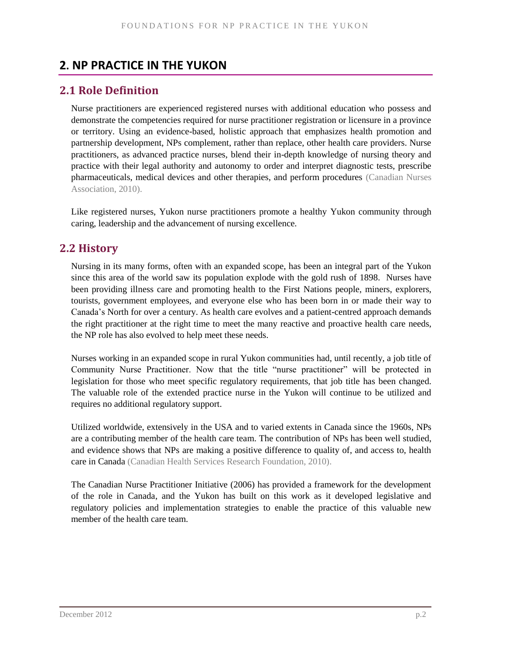# <span id="page-7-0"></span>**2. NP PRACTICE IN THE YUKON**

### **2.1 Role Definition**

Nurse practitioners are experienced registered nurses with additional education who possess and demonstrate the competencies required for nurse practitioner registration or licensure in a province or territory. Using an evidence-based, holistic approach that emphasizes health promotion and partnership development, NPs complement, rather than replace, other health care providers. Nurse practitioners, as advanced practice nurses, blend their in-depth knowledge of nursing theory and practice with their legal authority and autonomy to order and interpret diagnostic tests, prescribe pharmaceuticals, medical devices and other therapies, and perform procedures (Canadian Nurses Association, 2010).

Like registered nurses, Yukon nurse practitioners promote a healthy Yukon community through caring, leadership and the advancement of nursing excellence.

# **2.2 History**

Nursing in its many forms, often with an expanded scope, has been an integral part of the Yukon since this area of the world saw its population explode with the gold rush of 1898. Nurses have been providing illness care and promoting health to the First Nations people, miners, explorers, tourists, government employees, and everyone else who has been born in or made their way to Canada's North for over a century. As health care evolves and a patient-centred approach demands the right practitioner at the right time to meet the many reactive and proactive health care needs, the NP role has also evolved to help meet these needs.

Nurses working in an expanded scope in rural Yukon communities had, until recently, a job title of Community Nurse Practitioner. Now that the title "nurse practitioner" will be protected in legislation for those who meet specific regulatory requirements, that job title has been changed. The valuable role of the extended practice nurse in the Yukon will continue to be utilized and requires no additional regulatory support.

Utilized worldwide, extensively in the USA and to varied extents in Canada since the 1960s, NPs are a contributing member of the health care team. The contribution of NPs has been well studied, and evidence shows that NPs are making a positive difference to quality of, and access to, health care in Canada (Canadian Health Services Research Foundation, 2010).

The Canadian Nurse Practitioner Initiative (2006) has provided a framework for the development of the role in Canada, and the Yukon has built on this work as it developed legislative and regulatory policies and implementation strategies to enable the practice of this valuable new member of the health care team.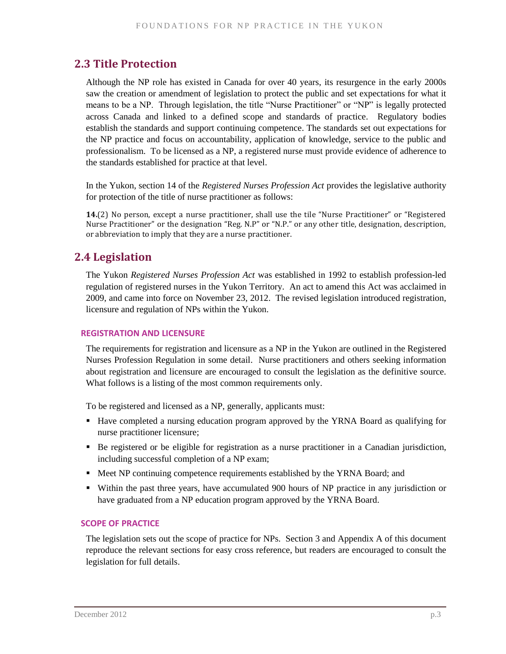# **2.3 Title Protection**

Although the NP role has existed in Canada for over 40 years, its resurgence in the early 2000s saw the creation or amendment of legislation to protect the public and set expectations for what it means to be a NP. Through legislation, the title "Nurse Practitioner" or "NP" is legally protected across Canada and linked to a defined scope and standards of practice. Regulatory bodies establish the standards and support continuing competence. The standards set out expectations for the NP practice and focus on accountability, application of knowledge, service to the public and professionalism. To be licensed as a NP, a registered nurse must provide evidence of adherence to the standards established for practice at that level.

In the Yukon, section 14 of the *Registered Nurses Profession Act* provides the legislative authority for protection of the title of nurse practitioner as follows:

**14.**(2) No person, except a nurse practitioner, shall use the tile "Nurse Practitioner" or "Registered Nurse Practitioner" or the designation "Reg. N.P" or "N.P." or any other title, designation, description, or abbreviation to imply that they are a nurse practitioner.

# **2.4 Legislation**

The Yukon *Registered Nurses Profession Act* was established in 1992 to establish profession-led regulation of registered nurses in the Yukon Territory. An act to amend this Act was acclaimed in 2009, and came into force on November 23, 2012. The revised legislation introduced registration, licensure and regulation of NPs within the Yukon.

### **REGISTRATION AND LICENSURE**

The requirements for registration and licensure as a NP in the Yukon are outlined in the Registered Nurses Profession Regulation in some detail. Nurse practitioners and others seeking information about registration and licensure are encouraged to consult the legislation as the definitive source. What follows is a listing of the most common requirements only.

To be registered and licensed as a NP, generally, applicants must:

- Have completed a nursing education program approved by the YRNA Board as qualifying for nurse practitioner licensure;
- Be registered or be eligible for registration as a nurse practitioner in a Canadian jurisdiction, including successful completion of a NP exam;
- **Meet NP** continuing competence requirements established by the YRNA Board; and
- Within the past three years, have accumulated 900 hours of NP practice in any jurisdiction or have graduated from a NP education program approved by the YRNA Board.

### **SCOPE OF PRACTICE**

The legislation sets out the scope of practice for NPs. Section 3 and Appendix A of this document reproduce the relevant sections for easy cross reference, but readers are encouraged to consult the legislation for full details.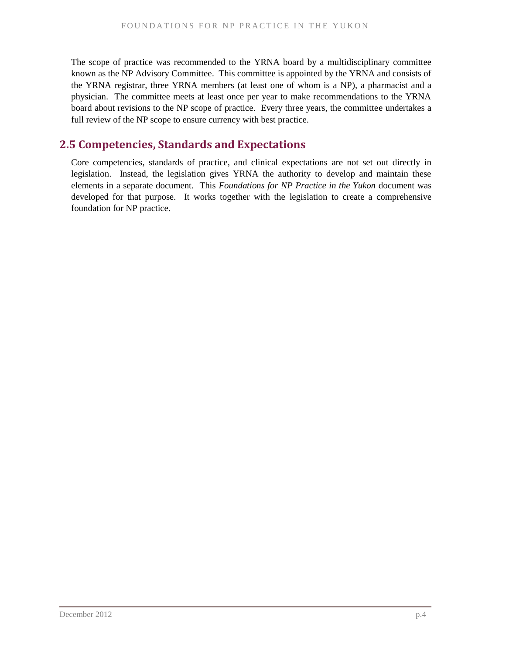The scope of practice was recommended to the YRNA board by a multidisciplinary committee known as the NP Advisory Committee. This committee is appointed by the YRNA and consists of the YRNA registrar, three YRNA members (at least one of whom is a NP), a pharmacist and a physician. The committee meets at least once per year to make recommendations to the YRNA board about revisions to the NP scope of practice. Every three years, the committee undertakes a full review of the NP scope to ensure currency with best practice.

## **2.5 Competencies, Standards and Expectations**

Core competencies, standards of practice, and clinical expectations are not set out directly in legislation. Instead, the legislation gives YRNA the authority to develop and maintain these elements in a separate document. This *Foundations for NP Practice in the Yukon* document was developed for that purpose. It works together with the legislation to create a comprehensive foundation for NP practice.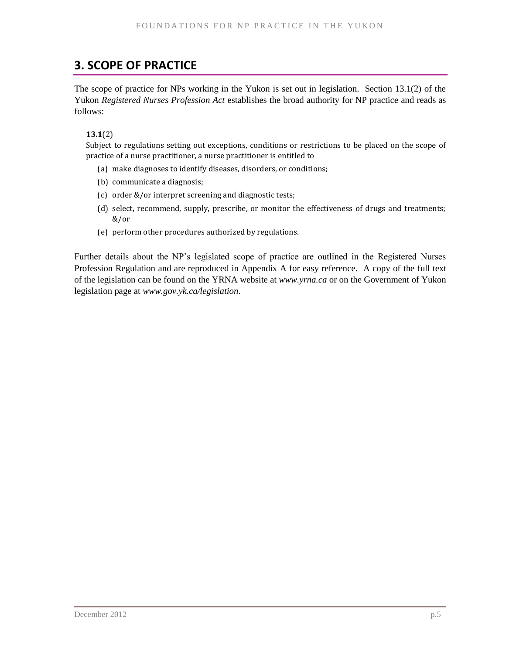# <span id="page-10-0"></span>**3. SCOPE OF PRACTICE**

The scope of practice for NPs working in the Yukon is set out in legislation. Section 13.1(2) of the Yukon *Registered Nurses Profession Act* establishes the broad authority for NP practice and reads as follows:

**13.1**(2)

Subject to regulations setting out exceptions, conditions or restrictions to be placed on the scope of practice of a nurse practitioner, a nurse practitioner is entitled to

- (a) make diagnoses to identify diseases, disorders, or conditions;
- (b) communicate a diagnosis;
- (c) order &/or interpret screening and diagnostic tests;
- (d) select, recommend, supply, prescribe, or monitor the effectiveness of drugs and treatments; &/or
- (e) perform other procedures authorized by regulations.

Further details about the NP's legislated scope of practice are outlined in the Registered Nurses Profession Regulation and are reproduced in Appendix A for easy reference. A copy of the full text of the legislation can be found on the YRNA website at *[www.yrna.ca](http://www.yrna.ca/)* or on the Government of Yukon legislation page at *[www.gov.yk.ca/legislation](http://www.gov.yk.ca/legislation)*.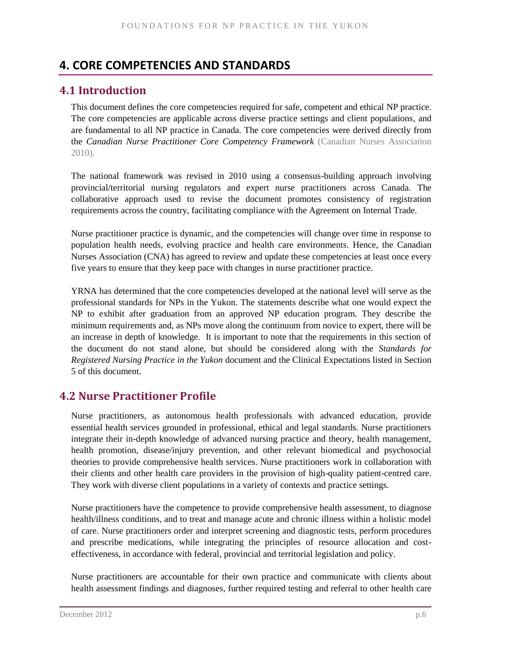# <span id="page-11-0"></span>**4. CORE COMPETENCIES AND STANDARDS**

# **4.1 Introduction**

This document defines the core competencies required for safe, competent and ethical NP practice. The core competencies are applicable across diverse practice settings and client populations, and are fundamental to all NP practice in Canada. The core competencies were derived directly from the *Canadian Nurse Practitioner Core Competency Framework* (Canadian Nurses Association 2010).

The national framework was revised in 2010 using a consensus-building approach involving provincial/territorial nursing regulators and expert nurse practitioners across Canada. The collaborative approach used to revise the document promotes consistency of registration requirements across the country, facilitating compliance with the Agreement on Internal Trade.

Nurse practitioner practice is dynamic, and the competencies will change over time in response to population health needs, evolving practice and health care environments. Hence, the Canadian Nurses Association (CNA) has agreed to review and update these competencies at least once every five years to ensure that they keep pace with changes in nurse practitioner practice.

YRNA has determined that the core competencies developed at the national level will serve as the professional standards for NPs in the Yukon. The statements describe what one would expect the NP to exhibit after graduation from an approved NP education program. They describe the minimum requirements and, as NPs move along the continuum from novice to expert, there will be an increase in depth of knowledge. It is important to note that the requirements in this section of the document do not stand alone, but should be considered along with the *Standards for Registered Nursing Practice in the Yukon* document and the Clinical Expectations listed in Section 5 of this document.

# **4.2 Nurse Practitioner Profile**

Nurse practitioners, as autonomous health professionals with advanced education, provide essential health services grounded in professional, ethical and legal standards. Nurse practitioners integrate their in-depth knowledge of advanced nursing practice and theory, health management, health promotion, disease/injury prevention, and other relevant biomedical and psychosocial theories to provide comprehensive health services. Nurse practitioners work in collaboration with their clients and other health care providers in the provision of high-quality patient-centred care. They work with diverse client populations in a variety of contexts and practice settings.

Nurse practitioners have the competence to provide comprehensive health assessment, to diagnose health/illness conditions, and to treat and manage acute and chronic illness within a holistic model of care. Nurse practitioners order and interpret screening and diagnostic tests, perform procedures and prescribe medications, while integrating the principles of resource allocation and costeffectiveness, in accordance with federal, provincial and territorial legislation and policy.

Nurse practitioners are accountable for their own practice and communicate with clients about health assessment findings and diagnoses, further required testing and referral to other health care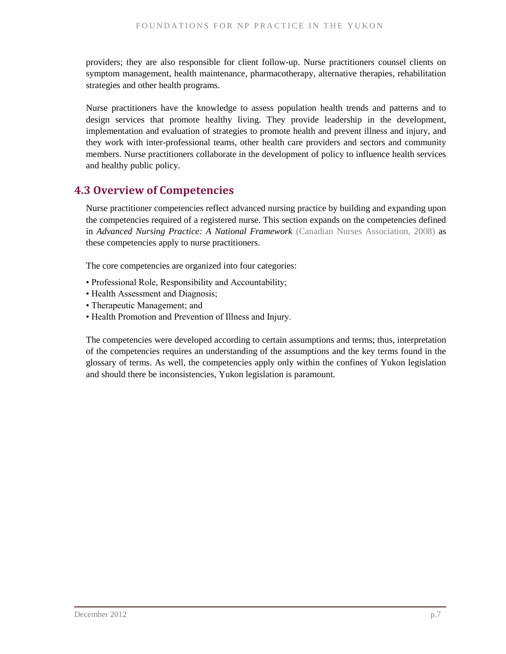providers; they are also responsible for client follow-up. Nurse practitioners counsel clients on symptom management, health maintenance, pharmacotherapy, alternative therapies, rehabilitation strategies and other health programs.

Nurse practitioners have the knowledge to assess population health trends and patterns and to design services that promote healthy living. They provide leadership in the development, implementation and evaluation of strategies to promote health and prevent illness and injury, and they work with inter-professional teams, other health care providers and sectors and community members. Nurse practitioners collaborate in the development of policy to influence health services and healthy public policy.

# **4.3 Overview of Competencies**

Nurse practitioner competencies reflect advanced nursing practice by building and expanding upon the competencies required of a registered nurse. This section expands on the competencies defined in *Advanced Nursing Practice: A National Framework* (Canadian Nurses Association, 2008) as these competencies apply to nurse practitioners.

The core competencies are organized into four categories:

- Professional Role, Responsibility and Accountability;
- Health Assessment and Diagnosis;
- Therapeutic Management; and
- Health Promotion and Prevention of Illness and Injury.

The competencies were developed according to certain assumptions and terms; thus, interpretation of the competencies requires an understanding of the assumptions and the key terms found in the glossary of terms. As well, the competencies apply only within the confines of Yukon legislation and should there be inconsistencies, Yukon legislation is paramount.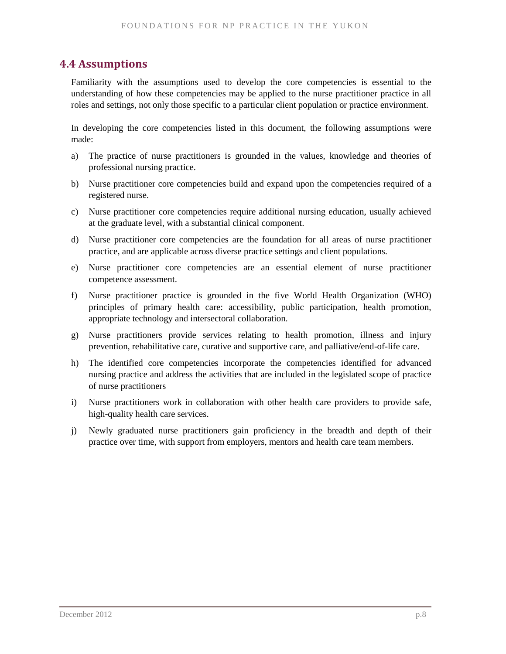## **4.4 Assumptions**

Familiarity with the assumptions used to develop the core competencies is essential to the understanding of how these competencies may be applied to the nurse practitioner practice in all roles and settings, not only those specific to a particular client population or practice environment.

In developing the core competencies listed in this document, the following assumptions were made:

- a) The practice of nurse practitioners is grounded in the values, knowledge and theories of professional nursing practice.
- b) Nurse practitioner core competencies build and expand upon the competencies required of a registered nurse.
- c) Nurse practitioner core competencies require additional nursing education, usually achieved at the graduate level, with a substantial clinical component.
- d) Nurse practitioner core competencies are the foundation for all areas of nurse practitioner practice, and are applicable across diverse practice settings and client populations.
- e) Nurse practitioner core competencies are an essential element of nurse practitioner competence assessment.
- f) Nurse practitioner practice is grounded in the five World Health Organization (WHO) principles of primary health care: accessibility, public participation, health promotion, appropriate technology and intersectoral collaboration.
- g) Nurse practitioners provide services relating to health promotion, illness and injury prevention, rehabilitative care, curative and supportive care, and palliative/end-of-life care.
- h) The identified core competencies incorporate the competencies identified for advanced nursing practice and address the activities that are included in the legislated scope of practice of nurse practitioners
- i) Nurse practitioners work in collaboration with other health care providers to provide safe, high-quality health care services.
- j) Newly graduated nurse practitioners gain proficiency in the breadth and depth of their practice over time, with support from employers, mentors and health care team members.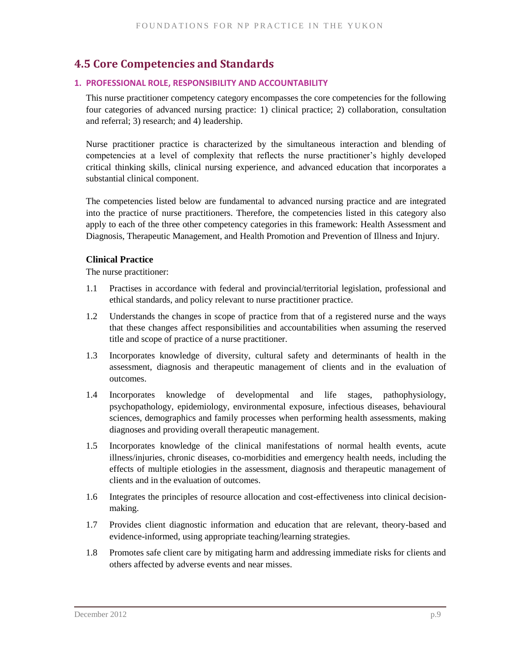# **4.5 Core Competencies and Standards**

### <span id="page-14-0"></span>**1. PROFESSIONAL ROLE, RESPONSIBILITY AND ACCOUNTABILITY**

This nurse practitioner competency category encompasses the core competencies for the following four categories of advanced nursing practice: 1) clinical practice; 2) collaboration, consultation and referral; 3) research; and 4) leadership.

Nurse practitioner practice is characterized by the simultaneous interaction and blending of competencies at a level of complexity that reflects the nurse practitioner's highly developed critical thinking skills, clinical nursing experience, and advanced education that incorporates a substantial clinical component.

The competencies listed below are fundamental to advanced nursing practice and are integrated into the practice of nurse practitioners. Therefore, the competencies listed in this category also apply to each of the three other competency categories in this framework: Health Assessment and Diagnosis, Therapeutic Management, and Health Promotion and Prevention of Illness and Injury.

### **Clinical Practice**

- 1.1 Practises in accordance with federal and provincial/territorial legislation, professional and ethical standards, and policy relevant to nurse practitioner practice.
- 1.2 Understands the changes in scope of practice from that of a registered nurse and the ways that these changes affect responsibilities and accountabilities when assuming the reserved title and scope of practice of a nurse practitioner.
- 1.3 Incorporates knowledge of diversity, cultural safety and determinants of health in the assessment, diagnosis and therapeutic management of clients and in the evaluation of outcomes.
- 1.4 Incorporates knowledge of developmental and life stages, pathophysiology, psychopathology, epidemiology, environmental exposure, infectious diseases, behavioural sciences, demographics and family processes when performing health assessments, making diagnoses and providing overall therapeutic management.
- 1.5 Incorporates knowledge of the clinical manifestations of normal health events, acute illness/injuries, chronic diseases, co-morbidities and emergency health needs, including the effects of multiple etiologies in the assessment, diagnosis and therapeutic management of clients and in the evaluation of outcomes.
- 1.6 Integrates the principles of resource allocation and cost-effectiveness into clinical decisionmaking.
- 1.7 Provides client diagnostic information and education that are relevant, theory-based and evidence-informed, using appropriate teaching/learning strategies.
- 1.8 Promotes safe client care by mitigating harm and addressing immediate risks for clients and others affected by adverse events and near misses.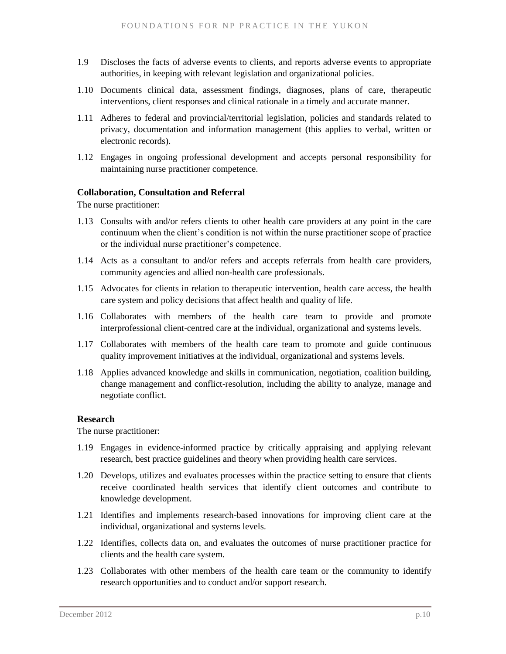- 1.9 Discloses the facts of adverse events to clients, and reports adverse events to appropriate authorities, in keeping with relevant legislation and organizational policies.
- 1.10 Documents clinical data, assessment findings, diagnoses, plans of care, therapeutic interventions, client responses and clinical rationale in a timely and accurate manner.
- 1.11 Adheres to federal and provincial/territorial legislation, policies and standards related to privacy, documentation and information management (this applies to verbal, written or electronic records).
- 1.12 Engages in ongoing professional development and accepts personal responsibility for maintaining nurse practitioner competence.

### **Collaboration, Consultation and Referral**

The nurse practitioner:

- 1.13 Consults with and/or refers clients to other health care providers at any point in the care continuum when the client's condition is not within the nurse practitioner scope of practice or the individual nurse practitioner's competence.
- 1.14 Acts as a consultant to and/or refers and accepts referrals from health care providers, community agencies and allied non-health care professionals.
- 1.15 Advocates for clients in relation to therapeutic intervention, health care access, the health care system and policy decisions that affect health and quality of life.
- 1.16 Collaborates with members of the health care team to provide and promote interprofessional client-centred care at the individual, organizational and systems levels.
- 1.17 Collaborates with members of the health care team to promote and guide continuous quality improvement initiatives at the individual, organizational and systems levels.
- 1.18 Applies advanced knowledge and skills in communication, negotiation, coalition building, change management and conflict-resolution, including the ability to analyze, manage and negotiate conflict.

#### **Research**

- 1.19 Engages in evidence-informed practice by critically appraising and applying relevant research, best practice guidelines and theory when providing health care services.
- 1.20 Develops, utilizes and evaluates processes within the practice setting to ensure that clients receive coordinated health services that identify client outcomes and contribute to knowledge development.
- 1.21 Identifies and implements research-based innovations for improving client care at the individual, organizational and systems levels.
- 1.22 Identifies, collects data on, and evaluates the outcomes of nurse practitioner practice for clients and the health care system.
- 1.23 Collaborates with other members of the health care team or the community to identify research opportunities and to conduct and/or support research.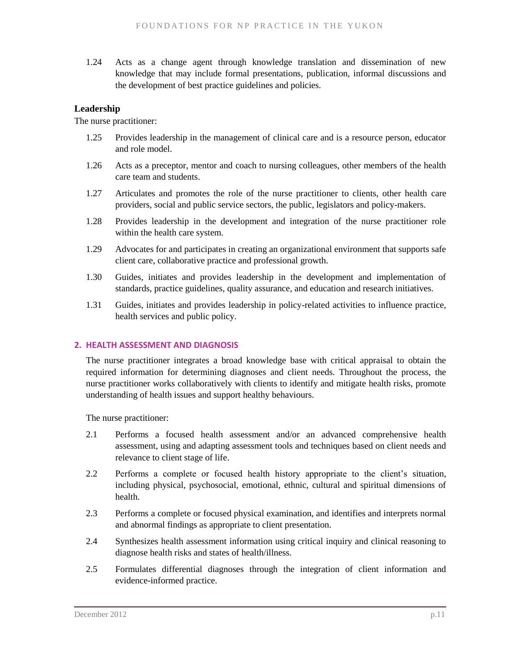1.24 Acts as a change agent through knowledge translation and dissemination of new knowledge that may include formal presentations, publication, informal discussions and the development of best practice guidelines and policies.

### **Leadership**

The nurse practitioner:

- 1.25 Provides leadership in the management of clinical care and is a resource person, educator and role model.
- 1.26 Acts as a preceptor, mentor and coach to nursing colleagues, other members of the health care team and students.
- 1.27 Articulates and promotes the role of the nurse practitioner to clients, other health care providers, social and public service sectors, the public, legislators and policy-makers.
- 1.28 Provides leadership in the development and integration of the nurse practitioner role within the health care system.
- 1.29 Advocates for and participates in creating an organizational environment that supports safe client care, collaborative practice and professional growth.
- 1.30 Guides, initiates and provides leadership in the development and implementation of standards, practice guidelines, quality assurance, and education and research initiatives.
- 1.31 Guides, initiates and provides leadership in policy-related activities to influence practice, health services and public policy.

### <span id="page-16-0"></span>**2. HEALTH ASSESSMENT AND DIAGNOSIS**

The nurse practitioner integrates a broad knowledge base with critical appraisal to obtain the required information for determining diagnoses and client needs. Throughout the process, the nurse practitioner works collaboratively with clients to identify and mitigate health risks, promote understanding of health issues and support healthy behaviours.

- 2.1 Performs a focused health assessment and/or an advanced comprehensive health assessment, using and adapting assessment tools and techniques based on client needs and relevance to client stage of life.
- 2.2 Performs a complete or focused health history appropriate to the client's situation, including physical, psychosocial, emotional, ethnic, cultural and spiritual dimensions of health.
- 2.3 Performs a complete or focused physical examination, and identifies and interprets normal and abnormal findings as appropriate to client presentation.
- 2.4 Synthesizes health assessment information using critical inquiry and clinical reasoning to diagnose health risks and states of health/illness.
- 2.5 Formulates differential diagnoses through the integration of client information and evidence-informed practice.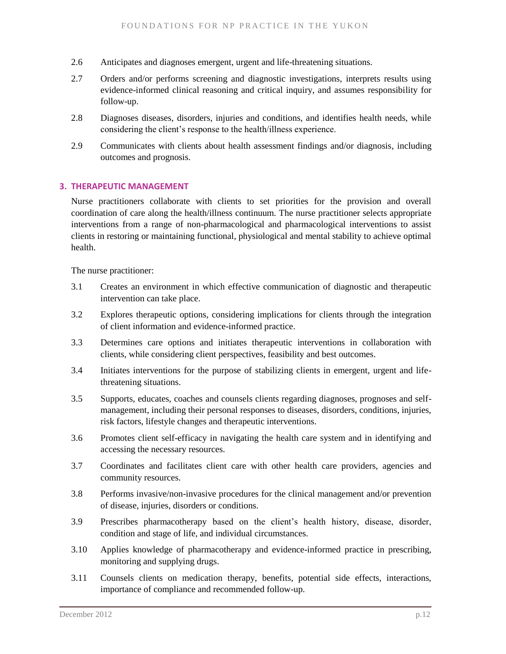- 2.6 Anticipates and diagnoses emergent, urgent and life-threatening situations.
- 2.7 Orders and/or performs screening and diagnostic investigations, interprets results using evidence-informed clinical reasoning and critical inquiry, and assumes responsibility for follow-up.
- 2.8 Diagnoses diseases, disorders, injuries and conditions, and identifies health needs, while considering the client's response to the health/illness experience.
- 2.9 Communicates with clients about health assessment findings and/or diagnosis, including outcomes and prognosis.

#### <span id="page-17-0"></span>**3. THERAPEUTIC MANAGEMENT**

Nurse practitioners collaborate with clients to set priorities for the provision and overall coordination of care along the health/illness continuum. The nurse practitioner selects appropriate interventions from a range of non-pharmacological and pharmacological interventions to assist clients in restoring or maintaining functional, physiological and mental stability to achieve optimal health.

- 3.1 Creates an environment in which effective communication of diagnostic and therapeutic intervention can take place.
- 3.2 Explores therapeutic options, considering implications for clients through the integration of client information and evidence-informed practice.
- 3.3 Determines care options and initiates therapeutic interventions in collaboration with clients, while considering client perspectives, feasibility and best outcomes.
- 3.4 Initiates interventions for the purpose of stabilizing clients in emergent, urgent and lifethreatening situations.
- 3.5 Supports, educates, coaches and counsels clients regarding diagnoses, prognoses and selfmanagement, including their personal responses to diseases, disorders, conditions, injuries, risk factors, lifestyle changes and therapeutic interventions.
- 3.6 Promotes client self-efficacy in navigating the health care system and in identifying and accessing the necessary resources.
- 3.7 Coordinates and facilitates client care with other health care providers, agencies and community resources.
- 3.8 Performs invasive/non-invasive procedures for the clinical management and/or prevention of disease, injuries, disorders or conditions.
- 3.9 Prescribes pharmacotherapy based on the client's health history, disease, disorder, condition and stage of life, and individual circumstances.
- 3.10 Applies knowledge of pharmacotherapy and evidence-informed practice in prescribing, monitoring and supplying drugs.
- 3.11 Counsels clients on medication therapy, benefits, potential side effects, interactions, importance of compliance and recommended follow-up.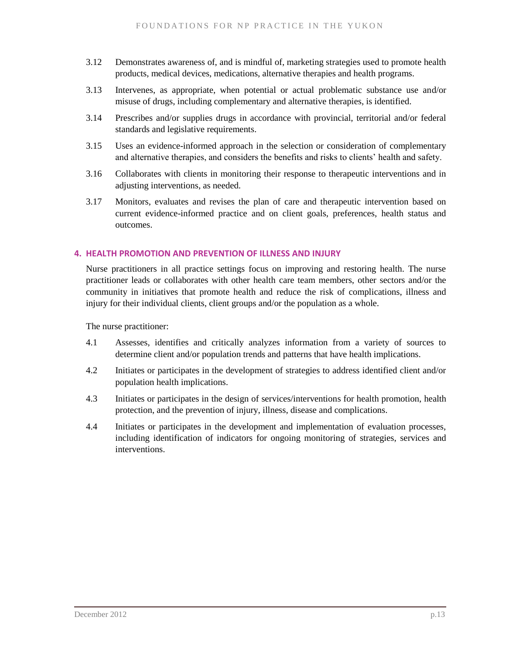- 3.12 Demonstrates awareness of, and is mindful of, marketing strategies used to promote health products, medical devices, medications, alternative therapies and health programs.
- 3.13 Intervenes, as appropriate, when potential or actual problematic substance use and/or misuse of drugs, including complementary and alternative therapies, is identified.
- 3.14 Prescribes and/or supplies drugs in accordance with provincial, territorial and/or federal standards and legislative requirements.
- 3.15 Uses an evidence-informed approach in the selection or consideration of complementary and alternative therapies, and considers the benefits and risks to clients' health and safety.
- 3.16 Collaborates with clients in monitoring their response to therapeutic interventions and in adjusting interventions, as needed.
- 3.17 Monitors, evaluates and revises the plan of care and therapeutic intervention based on current evidence-informed practice and on client goals, preferences, health status and outcomes.

### <span id="page-18-0"></span>**4. HEALTH PROMOTION AND PREVENTION OF ILLNESS AND INJURY**

Nurse practitioners in all practice settings focus on improving and restoring health. The nurse practitioner leads or collaborates with other health care team members, other sectors and/or the community in initiatives that promote health and reduce the risk of complications, illness and injury for their individual clients, client groups and/or the population as a whole.

- 4.1 Assesses, identifies and critically analyzes information from a variety of sources to determine client and/or population trends and patterns that have health implications.
- 4.2 Initiates or participates in the development of strategies to address identified client and/or population health implications.
- 4.3 Initiates or participates in the design of services/interventions for health promotion, health protection, and the prevention of injury, illness, disease and complications.
- 4.4 Initiates or participates in the development and implementation of evaluation processes, including identification of indicators for ongoing monitoring of strategies, services and interventions.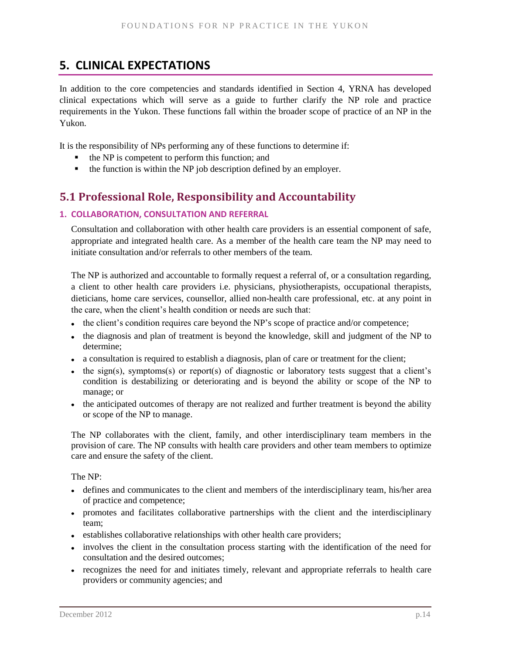# <span id="page-19-0"></span>**5. CLINICAL EXPECTATIONS**

In addition to the core competencies and standards identified in Section 4, YRNA has developed clinical expectations which will serve as a guide to further clarify the NP role and practice requirements in the Yukon. These functions fall within the broader scope of practice of an NP in the Yukon.

It is the responsibility of NPs performing any of these functions to determine if:

- the NP is competent to perform this function; and
- $\blacksquare$  the function is within the NP job description defined by an employer.

# <span id="page-19-1"></span>**5.1 Professional Role, Responsibility and Accountability**

### **1. COLLABORATION, CONSULTATION AND REFERRAL**

Consultation and collaboration with other health care providers is an essential component of safe, appropriate and integrated health care. As a member of the health care team the NP may need to initiate consultation and/or referrals to other members of the team.

The NP is authorized and accountable to formally request a referral of, or a consultation regarding, a client to other health care providers i.e. physicians, physiotherapists, occupational therapists, dieticians, home care services, counsellor, allied non-health care professional, etc. at any point in the care, when the client's health condition or needs are such that:

- the client's condition requires care beyond the NP's scope of practice and/or competence;
- the diagnosis and plan of treatment is beyond the knowledge, skill and judgment of the NP to determine;
- a consultation is required to establish a diagnosis, plan of care or treatment for the client;
- the sign(s), symptoms(s) or report(s) of diagnostic or laboratory tests suggest that a client's  $\bullet$ condition is destabilizing or deteriorating and is beyond the ability or scope of the NP to manage; or
- the anticipated outcomes of therapy are not realized and further treatment is beyond the ability or scope of the NP to manage.

The NP collaborates with the client, family, and other interdisciplinary team members in the provision of care. The NP consults with health care providers and other team members to optimize care and ensure the safety of the client.

### The NP:

- defines and communicates to the client and members of the interdisciplinary team, his/her area of practice and competence;
- promotes and facilitates collaborative partnerships with the client and the interdisciplinary team;
- establishes collaborative relationships with other health care providers;
- involves the client in the consultation process starting with the identification of the need for consultation and the desired outcomes;
- recognizes the need for and initiates timely, relevant and appropriate referrals to health care providers or community agencies; and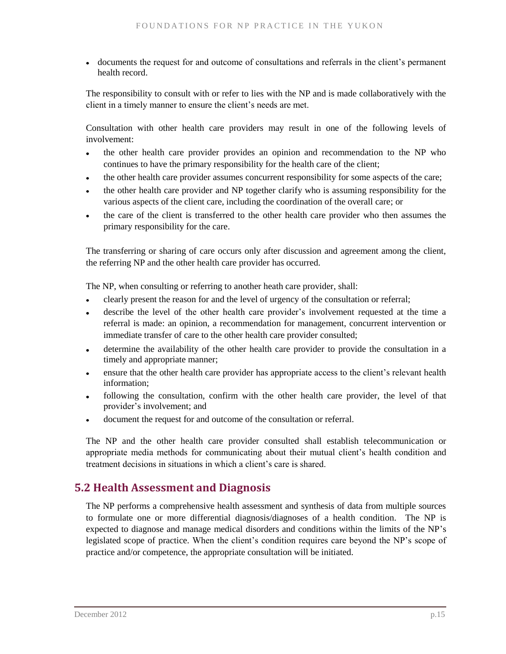documents the request for and outcome of consultations and referrals in the client's permanent health record.

The responsibility to consult with or refer to lies with the NP and is made collaboratively with the client in a timely manner to ensure the client's needs are met.

Consultation with other health care providers may result in one of the following levels of involvement:

- the other health care provider provides an opinion and recommendation to the NP who continues to have the primary responsibility for the health care of the client;
- the other health care provider assumes concurrent responsibility for some aspects of the care;
- the other health care provider and NP together clarify who is assuming responsibility for the various aspects of the client care, including the coordination of the overall care; or
- the care of the client is transferred to the other health care provider who then assumes the  $\bullet$ primary responsibility for the care.

The transferring or sharing of care occurs only after discussion and agreement among the client, the referring NP and the other health care provider has occurred.

The NP, when consulting or referring to another heath care provider, shall:

- clearly present the reason for and the level of urgency of the consultation or referral;
- describe the level of the other health care provider's involvement requested at the time a referral is made: an opinion, a recommendation for management, concurrent intervention or immediate transfer of care to the other health care provider consulted;
- determine the availability of the other health care provider to provide the consultation in a timely and appropriate manner;
- ensure that the other health care provider has appropriate access to the client's relevant health information;
- following the consultation, confirm with the other health care provider, the level of that provider's involvement; and
- document the request for and outcome of the consultation or referral.

The NP and the other health care provider consulted shall establish telecommunication or appropriate media methods for communicating about their mutual client's health condition and treatment decisions in situations in which a client's care is shared.

# <span id="page-20-0"></span>**5.2 Health Assessment and Diagnosis**

The NP performs a comprehensive health assessment and synthesis of data from multiple sources to formulate one or more differential diagnosis/diagnoses of a health condition. The NP is expected to diagnose and manage medical disorders and conditions within the limits of the NP's legislated scope of practice. When the client's condition requires care beyond the NP's scope of practice and/or competence, the appropriate consultation will be initiated.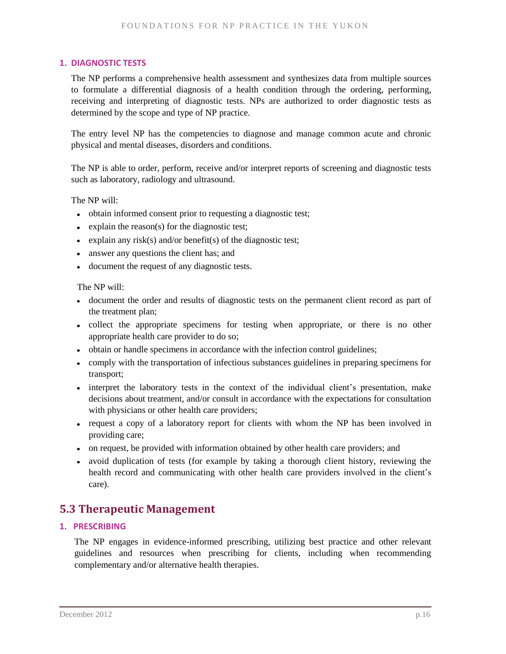### **1. DIAGNOSTIC TESTS**

The NP performs a comprehensive health assessment and synthesizes data from multiple sources to formulate a differential diagnosis of a health condition through the ordering, performing, receiving and interpreting of diagnostic tests. NPs are authorized to order diagnostic tests as determined by the scope and type of NP practice.

The entry level NP has the competencies to diagnose and manage common acute and chronic physical and mental diseases, disorders and conditions.

The NP is able to order, perform, receive and/or interpret reports of screening and diagnostic tests such as laboratory, radiology and ultrasound.

The NP will:

- obtain informed consent prior to requesting a diagnostic test;
- $\bullet$  explain the reason(s) for the diagnostic test;
- explain any risk(s) and/or benefit(s) of the diagnostic test;
- answer any questions the client has; and
- document the request of any diagnostic tests.

The NP will:

- document the order and results of diagnostic tests on the permanent client record as part of the treatment plan;
- collect the appropriate specimens for testing when appropriate, or there is no other appropriate health care provider to do so;
- obtain or handle specimens in accordance with the infection control guidelines;
- comply with the transportation of infectious substances guidelines in preparing specimens for transport;
- interpret the laboratory tests in the context of the individual client's presentation, make decisions about treatment, and/or consult in accordance with the expectations for consultation with physicians or other health care providers;
- request a copy of a laboratory report for clients with whom the NP has been involved in providing care;
- on request, be provided with information obtained by other health care providers; and
- avoid duplication of tests (for example by taking a thorough client history, reviewing the health record and communicating with other health care providers involved in the client's care).

# <span id="page-21-0"></span>**5.3 Therapeutic Management**

### **1. PRESCRIBING**

The NP engages in evidence-informed prescribing, utilizing best practice and other relevant guidelines and resources when prescribing for clients, including when recommending complementary and/or alternative health therapies.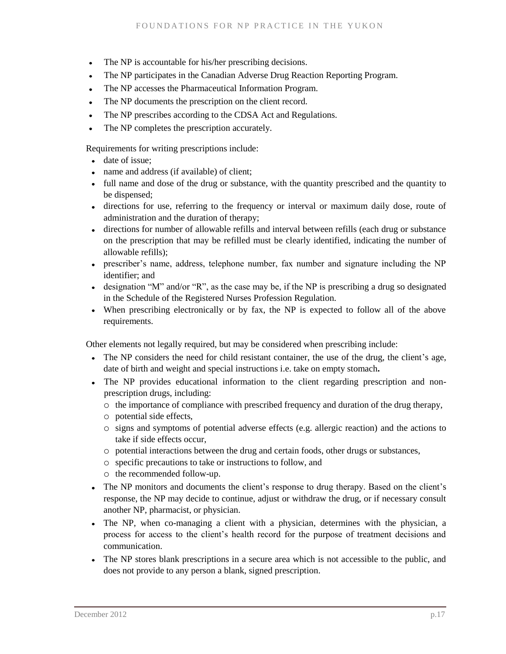- The NP is accountable for his/her prescribing decisions.
- The NP participates in the Canadian Adverse Drug Reaction Reporting Program.
- The NP accesses the Pharmaceutical Information Program.
- The NP documents the prescription on the client record.
- The NP prescribes according to the CDSA Act and Regulations.  $\bullet$
- The NP completes the prescription accurately.  $\bullet$

Requirements for writing prescriptions include:

- date of issue;
- name and address (if available) of client;
- full name and dose of the drug or substance, with the quantity prescribed and the quantity to be dispensed;
- directions for use, referring to the frequency or interval or maximum daily dose, route of administration and the duration of therapy;
- directions for number of allowable refills and interval between refills (each drug or substance on the prescription that may be refilled must be clearly identified, indicating the number of allowable refills);
- prescriber's name, address, telephone number, fax number and signature including the NP identifier; and
- designation "M" and/or "R", as the case may be, if the NP is prescribing a drug so designated in the Schedule of the Registered Nurses Profession Regulation.
- When prescribing electronically or by fax, the NP is expected to follow all of the above requirements.

Other elements not legally required, but may be considered when prescribing include:

- The NP considers the need for child resistant container, the use of the drug, the client's age, date of birth and weight and special instructions i.e. take on empty stomach**.**
- The NP provides educational information to the client regarding prescription and nonprescription drugs, including:
	- o the importance of compliance with prescribed frequency and duration of the drug therapy,
	- o potential side effects,
	- o signs and symptoms of potential adverse effects (e.g. allergic reaction) and the actions to take if side effects occur,
	- o potential interactions between the drug and certain foods, other drugs or substances,
	- o specific precautions to take or instructions to follow, and
	- o the recommended follow-up.
- The NP monitors and documents the client's response to drug therapy. Based on the client's response, the NP may decide to continue, adjust or withdraw the drug, or if necessary consult another NP, pharmacist, or physician.
- The NP, when co-managing a client with a physician, determines with the physician, a process for access to the client's health record for the purpose of treatment decisions and communication.
- The NP stores blank prescriptions in a secure area which is not accessible to the public, and does not provide to any person a blank, signed prescription.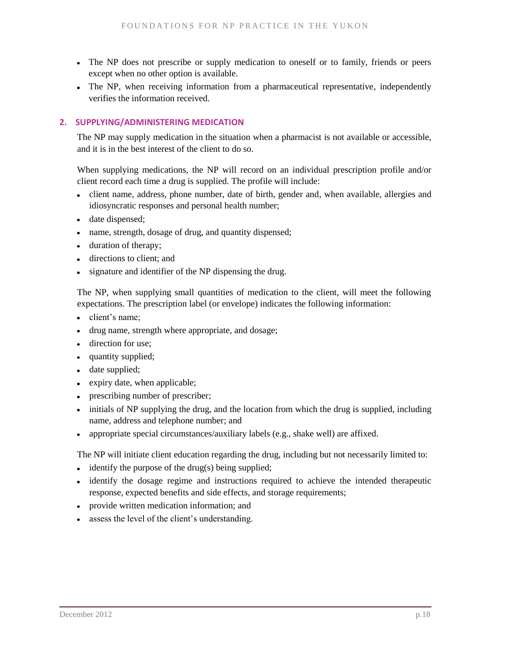- The NP does not prescribe or supply medication to oneself or to family, friends or peers except when no other option is available.
- The NP, when receiving information from a pharmaceutical representative, independently verifies the information received.

### **2. SUPPLYING/ADMINISTERING MEDICATION**

The NP may supply medication in the situation when a pharmacist is not available or accessible, and it is in the best interest of the client to do so.

When supplying medications, the NP will record on an individual prescription profile and/or client record each time a drug is supplied. The profile will include:

- client name, address, phone number, date of birth, gender and, when available, allergies and idiosyncratic responses and personal health number;
- date dispensed;
- name, strength, dosage of drug, and quantity dispensed;
- duration of therapy;
- directions to client; and
- signature and identifier of the NP dispensing the drug.

The NP, when supplying small quantities of medication to the client, will meet the following expectations. The prescription label (or envelope) indicates the following information:

- client's name;
- drug name, strength where appropriate, and dosage;
- direction for use;
- quantity supplied;
- date supplied;
- expiry date, when applicable;
- prescribing number of prescriber;
- initials of NP supplying the drug, and the location from which the drug is supplied, including name, address and telephone number; and
- appropriate special circumstances/auxiliary labels (e.g., shake well) are affixed.  $\bullet$

The NP will initiate client education regarding the drug, including but not necessarily limited to:

- $\bullet$  identify the purpose of the drug(s) being supplied;
- identify the dosage regime and instructions required to achieve the intended therapeutic response, expected benefits and side effects, and storage requirements;
- provide written medication information; and
- assess the level of the client's understanding.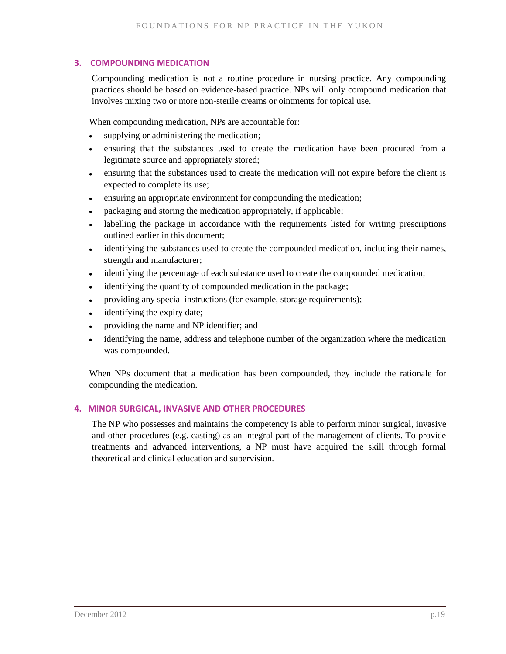### **3. COMPOUNDING MEDICATION**

Compounding medication is not a routine procedure in nursing practice. Any compounding practices should be based on evidence-based practice. NPs will only compound medication that involves mixing two or more non-sterile creams or ointments for topical use.

When compounding medication, NPs are accountable for:

- supplying or administering the medication;
- ensuring that the substances used to create the medication have been procured from a legitimate source and appropriately stored;
- ensuring that the substances used to create the medication will not expire before the client is  $\bullet$ expected to complete its use;
- ensuring an appropriate environment for compounding the medication;  $\bullet$  .
- packaging and storing the medication appropriately, if applicable;  $\bullet$
- labelling the package in accordance with the requirements listed for writing prescriptions  $\bullet$ outlined earlier in this document;
- identifying the substances used to create the compounded medication, including their names,  $\bullet$ strength and manufacturer;
- identifying the percentage of each substance used to create the compounded medication;  $\bullet$
- identifying the quantity of compounded medication in the package;  $\bullet$
- providing any special instructions (for example, storage requirements);  $\bullet$
- identifying the expiry date;
- providing the name and NP identifier; and
- identifying the name, address and telephone number of the organization where the medication was compounded.

When NPs document that a medication has been compounded, they include the rationale for compounding the medication.

### **4. MINOR SURGICAL, INVASIVE AND OTHER PROCEDURES**

The NP who possesses and maintains the competency is able to perform minor surgical, invasive and other procedures (e.g. casting) as an integral part of the management of clients. To provide treatments and advanced interventions, a NP must have acquired the skill through formal theoretical and clinical education and supervision.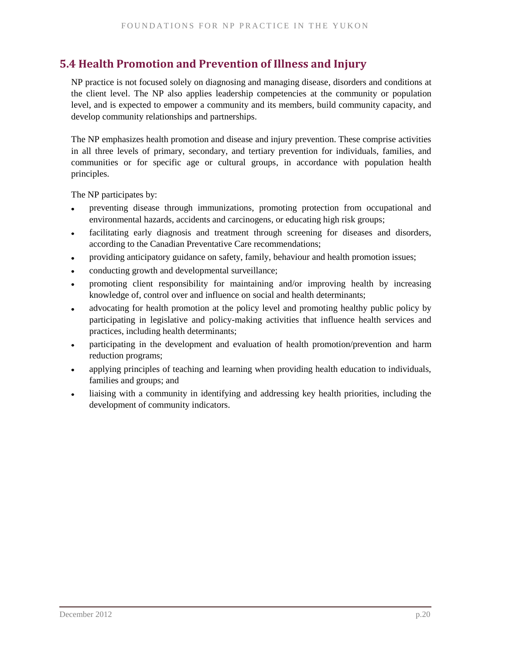# <span id="page-25-0"></span>**5.4 Health Promotion and Prevention of Illness and Injury**

NP practice is not focused solely on diagnosing and managing disease, disorders and conditions at the client level. The NP also applies leadership competencies at the community or population level, and is expected to empower a community and its members, build community capacity, and develop community relationships and partnerships.

The NP emphasizes health promotion and disease and injury prevention. These comprise activities in all three levels of primary, secondary, and tertiary prevention for individuals, families, and communities or for specific age or cultural groups, in accordance with population health principles.

The NP participates by:

- preventing disease through immunizations, promoting protection from occupational and environmental hazards, accidents and carcinogens, or educating high risk groups;
- facilitating early diagnosis and treatment through screening for diseases and disorders, according to the Canadian Preventative Care recommendations;
- providing anticipatory guidance on safety, family, behaviour and health promotion issues;  $\bullet$
- conducting growth and developmental surveillance;
- promoting client responsibility for maintaining and/or improving health by increasing knowledge of, control over and influence on social and health determinants;
- advocating for health promotion at the policy level and promoting healthy public policy by participating in legislative and policy-making activities that influence health services and practices, including health determinants;
- participating in the development and evaluation of health promotion/prevention and harm  $\bullet$ reduction programs;
- applying principles of teaching and learning when providing health education to individuals,  $\bullet$ families and groups; and
- liaising with a community in identifying and addressing key health priorities, including the development of community indicators.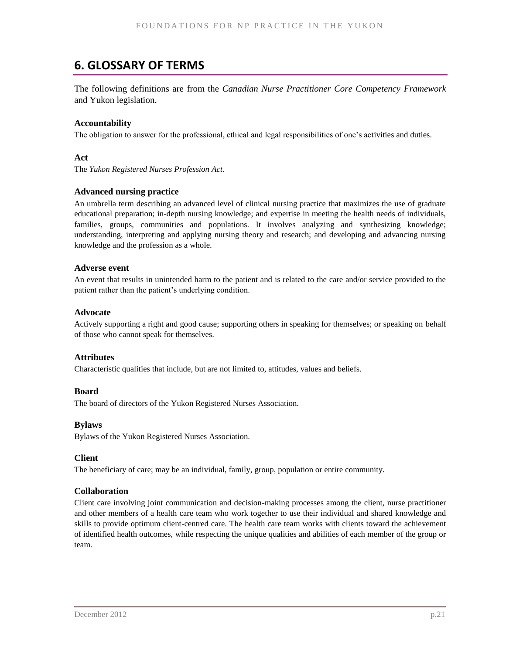# <span id="page-26-0"></span>**6. GLOSSARY OF TERMS**

The following definitions are from the *Canadian Nurse Practitioner Core Competency Framework* and Yukon legislation.

### **Accountability**

The obligation to answer for the professional, ethical and legal responsibilities of one's activities and duties.

#### **Act**

The *Yukon Registered Nurses Profession Act*.

#### **Advanced nursing practice**

An umbrella term describing an advanced level of clinical nursing practice that maximizes the use of graduate educational preparation; in-depth nursing knowledge; and expertise in meeting the health needs of individuals, families, groups, communities and populations. It involves analyzing and synthesizing knowledge; understanding, interpreting and applying nursing theory and research; and developing and advancing nursing knowledge and the profession as a whole.

#### **Adverse event**

An event that results in unintended harm to the patient and is related to the care and/or service provided to the patient rather than the patient's underlying condition.

#### **Advocate**

Actively supporting a right and good cause; supporting others in speaking for themselves; or speaking on behalf of those who cannot speak for themselves.

#### **Attributes**

Characteristic qualities that include, but are not limited to, attitudes, values and beliefs.

#### **Board**

The board of directors of the Yukon Registered Nurses Association.

#### **Bylaws**

Bylaws of the Yukon Registered Nurses Association.

#### **Client**

The beneficiary of care; may be an individual, family, group, population or entire community.

#### **Collaboration**

Client care involving joint communication and decision-making processes among the client, nurse practitioner and other members of a health care team who work together to use their individual and shared knowledge and skills to provide optimum client-centred care. The health care team works with clients toward the achievement of identified health outcomes, while respecting the unique qualities and abilities of each member of the group or team.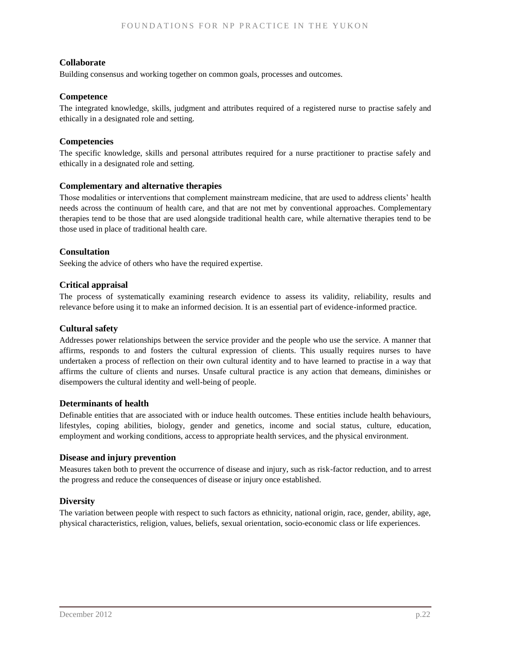### **Collaborate**

Building consensus and working together on common goals, processes and outcomes.

#### **Competence**

The integrated knowledge, skills, judgment and attributes required of a registered nurse to practise safely and ethically in a designated role and setting.

### **Competencies**

The specific knowledge, skills and personal attributes required for a nurse practitioner to practise safely and ethically in a designated role and setting.

### **Complementary and alternative therapies**

Those modalities or interventions that complement mainstream medicine, that are used to address clients' health needs across the continuum of health care, and that are not met by conventional approaches. Complementary therapies tend to be those that are used alongside traditional health care, while alternative therapies tend to be those used in place of traditional health care.

### **Consultation**

Seeking the advice of others who have the required expertise.

#### **Critical appraisal**

The process of systematically examining research evidence to assess its validity, reliability, results and relevance before using it to make an informed decision. It is an essential part of evidence-informed practice.

#### **Cultural safety**

Addresses power relationships between the service provider and the people who use the service. A manner that affirms, responds to and fosters the cultural expression of clients. This usually requires nurses to have undertaken a process of reflection on their own cultural identity and to have learned to practise in a way that affirms the culture of clients and nurses. Unsafe cultural practice is any action that demeans, diminishes or disempowers the cultural identity and well-being of people.

#### **Determinants of health**

Definable entities that are associated with or induce health outcomes. These entities include health behaviours, lifestyles, coping abilities, biology, gender and genetics, income and social status, culture, education, employment and working conditions, access to appropriate health services, and the physical environment.

#### **Disease and injury prevention**

Measures taken both to prevent the occurrence of disease and injury, such as risk-factor reduction, and to arrest the progress and reduce the consequences of disease or injury once established.

### **Diversity**

The variation between people with respect to such factors as ethnicity, national origin, race, gender, ability, age, physical characteristics, religion, values, beliefs, sexual orientation, socio-economic class or life experiences.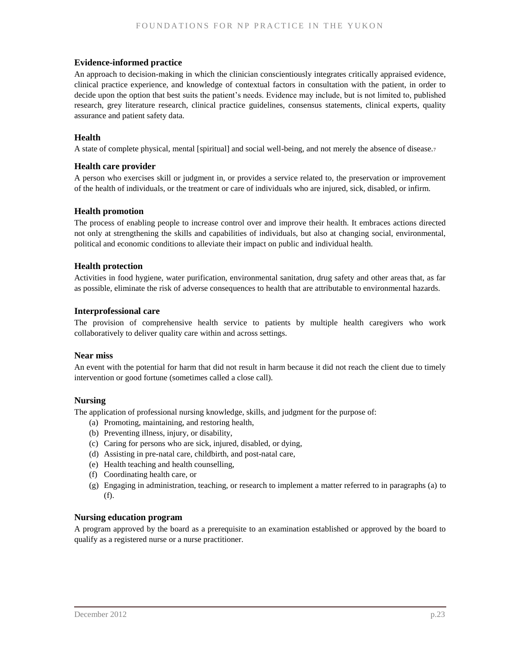#### **Evidence-informed practice**

An approach to decision-making in which the clinician conscientiously integrates critically appraised evidence, clinical practice experience, and knowledge of contextual factors in consultation with the patient, in order to decide upon the option that best suits the patient's needs. Evidence may include, but is not limited to, published research, grey literature research, clinical practice guidelines, consensus statements, clinical experts, quality assurance and patient safety data.

#### **Health**

A state of complete physical, mental [spiritual] and social well-being, and not merely the absence of disease.<sup>7</sup>

#### **Health care provider**

A person who exercises skill or judgment in, or provides a service related to, the preservation or improvement of the health of individuals, or the treatment or care of individuals who are injured, sick, disabled, or infirm.

#### **Health promotion**

The process of enabling people to increase control over and improve their health. It embraces actions directed not only at strengthening the skills and capabilities of individuals, but also at changing social, environmental, political and economic conditions to alleviate their impact on public and individual health.

#### **Health protection**

Activities in food hygiene, water purification, environmental sanitation, drug safety and other areas that, as far as possible, eliminate the risk of adverse consequences to health that are attributable to environmental hazards.

#### **Interprofessional care**

The provision of comprehensive health service to patients by multiple health caregivers who work collaboratively to deliver quality care within and across settings.

#### **Near miss**

An event with the potential for harm that did not result in harm because it did not reach the client due to timely intervention or good fortune (sometimes called a close call).

#### **Nursing**

The application of professional nursing knowledge, skills, and judgment for the purpose of:

- (a) Promoting, maintaining, and restoring health,
- (b) Preventing illness, injury, or disability,
- (c) Caring for persons who are sick, injured, disabled, or dying,
- (d) Assisting in pre-natal care, childbirth, and post-natal care,
- (e) Health teaching and health counselling,
- (f) Coordinating health care, or
- (g) Engaging in administration, teaching, or research to implement a matter referred to in paragraphs (a) to (f).

#### **Nursing education program**

A program approved by the board as a prerequisite to an examination established or approved by the board to qualify as a registered nurse or a nurse practitioner.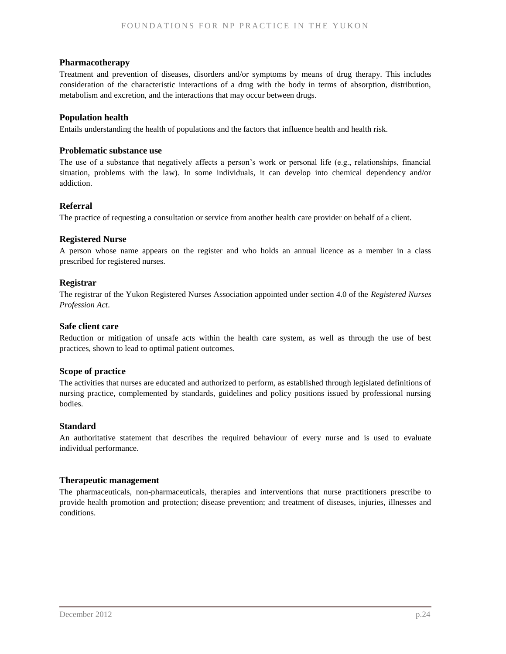#### **Pharmacotherapy**

Treatment and prevention of diseases, disorders and/or symptoms by means of drug therapy. This includes consideration of the characteristic interactions of a drug with the body in terms of absorption, distribution, metabolism and excretion, and the interactions that may occur between drugs.

### **Population health**

Entails understanding the health of populations and the factors that influence health and health risk.

#### **Problematic substance use**

The use of a substance that negatively affects a person's work or personal life (e.g., relationships, financial situation, problems with the law). In some individuals, it can develop into chemical dependency and/or addiction.

#### **Referral**

The practice of requesting a consultation or service from another health care provider on behalf of a client.

#### **Registered Nurse**

A person whose name appears on the register and who holds an annual licence as a member in a class prescribed for registered nurses.

#### **Registrar**

The registrar of the Yukon Registered Nurses Association appointed under section 4.0 of the *Registered Nurses Profession Act*.

#### **Safe client care**

Reduction or mitigation of unsafe acts within the health care system, as well as through the use of best practices, shown to lead to optimal patient outcomes.

#### **Scope of practice**

The activities that nurses are educated and authorized to perform, as established through legislated definitions of nursing practice, complemented by standards, guidelines and policy positions issued by professional nursing bodies.

#### **Standard**

An authoritative statement that describes the required behaviour of every nurse and is used to evaluate individual performance.

#### **Therapeutic management**

The pharmaceuticals, non-pharmaceuticals, therapies and interventions that nurse practitioners prescribe to provide health promotion and protection; disease prevention; and treatment of diseases, injuries, illnesses and conditions.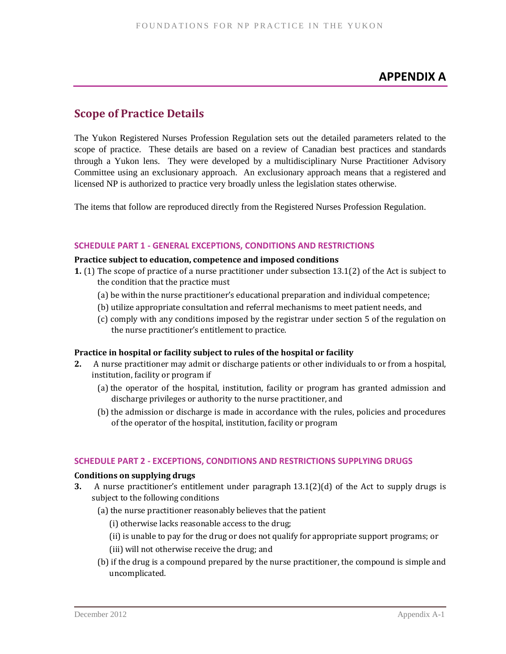# **APPENDIX A**

# <span id="page-30-0"></span>**Scope of Practice Details**

The Yukon Registered Nurses Profession Regulation sets out the detailed parameters related to the scope of practice. These details are based on a review of Canadian best practices and standards through a Yukon lens. They were developed by a multidisciplinary Nurse Practitioner Advisory Committee using an exclusionary approach. An exclusionary approach means that a registered and licensed NP is authorized to practice very broadly unless the legislation states otherwise.

The items that follow are reproduced directly from the Registered Nurses Profession Regulation.

### **SCHEDULE PART 1 - GENERAL EXCEPTIONS, CONDITIONS AND RESTRICTIONS**

#### **Practice subject to education, competence and imposed conditions**

- **1.** (1) The scope of practice of a nurse practitioner under subsection 13.1(2) of the Act is subject to the condition that the practice must
	- (a) be within the nurse practitioner's educational preparation and individual competence;
	- (b) utilize appropriate consultation and referral mechanisms to meet patient needs, and
	- (c) comply with any conditions imposed by the registrar under section 5 of the regulation on the nurse practitioner's entitlement to practice.

### **Practice in hospital or facility subject to rules of the hospital or facility**

- **2.** A nurse practitioner may admit or discharge patients or other individuals to or from a hospital, institution, facility or program if
	- (a) the operator of the hospital, institution, facility or program has granted admission and discharge privileges or authority to the nurse practitioner, and
	- (b) the admission or discharge is made in accordance with the rules, policies and procedures of the operator of the hospital, institution, facility or program

### **SCHEDULE PART 2 - EXCEPTIONS, CONDITIONS AND RESTRICTIONS SUPPLYING DRUGS**

#### **Conditions on supplying drugs**

- **3.** A nurse practitioner's entitlement under paragraph 13.1(2)(d) of the Act to supply drugs is subject to the following conditions
	- (a) the nurse practitioner reasonably believes that the patient
		- (i) otherwise lacks reasonable access to the drug;
		- (ii) is unable to pay for the drug or does not qualify for appropriate support programs; or
		- (iii) will not otherwise receive the drug; and
	- (b) if the drug is a compound prepared by the nurse practitioner, the compound is simple and uncomplicated.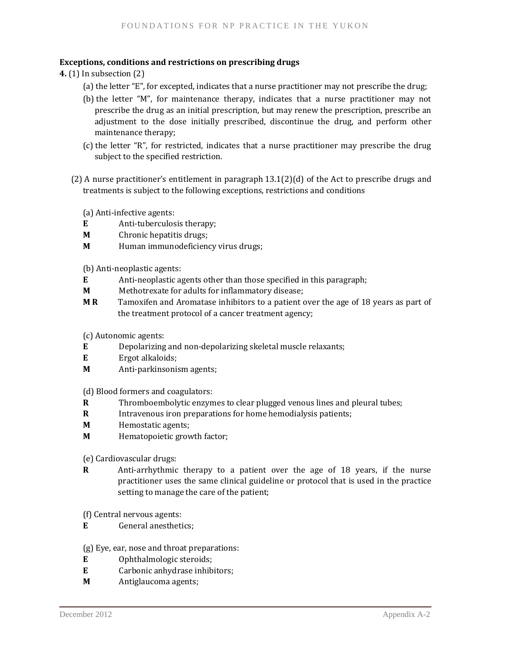### **Exceptions, conditions and restrictions on prescribing drugs**

**4.** (1) In subsection (2)

- (a) the letter "E", for excepted, indicates that a nurse practitioner may not prescribe the drug;
- (b) the letter "M", for maintenance therapy, indicates that a nurse practitioner may not prescribe the drug as an initial prescription, but may renew the prescription, prescribe an adjustment to the dose initially prescribed, discontinue the drug, and perform other maintenance therapy;
- (c) the letter "R", for restricted, indicates that a nurse practitioner may prescribe the drug subject to the specified restriction.
- (2) A nurse practitioner's entitlement in paragraph 13.1(2)(d) of the Act to prescribe drugs and treatments is subject to the following exceptions, restrictions and conditions

(a) Anti-infective agents:

- **E** Anti-tuberculosis therapy;
- **M** Chronic hepatitis drugs;
- **M** Human immunodeficiency virus drugs;

(b) Anti-neoplastic agents:

- **E** Anti-neoplastic agents other than those specified in this paragraph;
- **M** Methotrexate for adults for inflammatory disease;
- **M R** Tamoxifen and Aromatase inhibitors to a patient over the age of 18 years as part of the treatment protocol of a cancer treatment agency;

(c) Autonomic agents:

- **E** Depolarizing and non-depolarizing skeletal muscle relaxants;
- **E** Ergot alkaloids;
- **M** Anti-parkinsonism agents;

(d) Blood formers and coagulators:

- **R** Thromboembolytic enzymes to clear plugged venous lines and pleural tubes;
- **R** Intravenous iron preparations for home hemodialysis patients;
- **M** Hemostatic agents;
- **M** Hematopoietic growth factor;

(e) Cardiovascular drugs:

- **R** Anti-arrhythmic therapy to a patient over the age of 18 years, if the nurse practitioner uses the same clinical guideline or protocol that is used in the practice setting to manage the care of the patient;
- (f) Central nervous agents:
- **E** General anesthetics;

(g) Eye, ear, nose and throat preparations:

- **E** Ophthalmologic steroids;
- **E** Carbonic anhydrase inhibitors;
- **M** Antiglaucoma agents;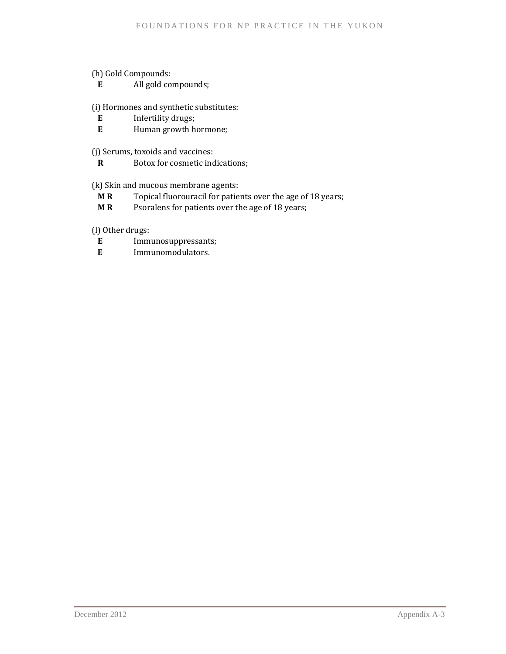(h) Gold Compounds:

**E** All gold compounds;

(i) Hormones and synthetic substitutes:

- **E** Infertility drugs;<br>**E** Human growth h
- **E** Human growth hormone;

(j) Serums, toxoids and vaccines:

**R** Botox for cosmetic indications;

(k) Skin and mucous membrane agents:

- **M R** Topical fluorouracil for patients over the age of 18 years;
- **M R** Psoralens for patients over the age of 18 years;

(l) Other drugs:

- **E** Immunosuppressants;
- **E** Immunomodulators.